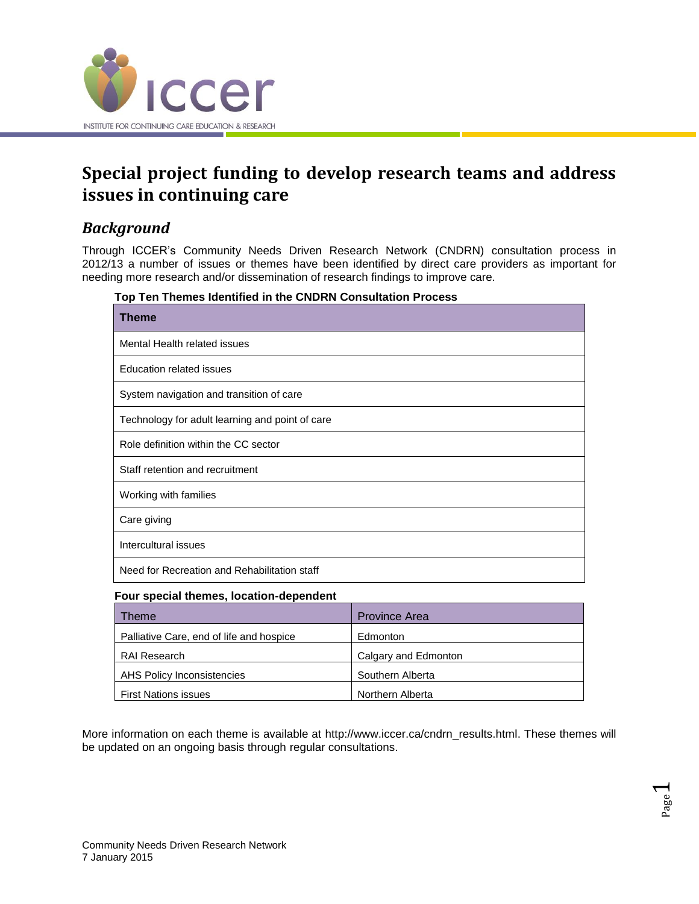

# **Special project funding to develop research teams and address issues in continuing care**

## *Background*

Through ICCER's Community Needs Driven Research Network (CNDRN) consultation process in 2012/13 a number of issues or themes have been identified by direct care providers as important for needing more research and/or dissemination of research findings to improve care.

| Top Ten Themes Identified in the CNDRN Consultation Process |  |  |  |  |  |  |  |
|-------------------------------------------------------------|--|--|--|--|--|--|--|
|-------------------------------------------------------------|--|--|--|--|--|--|--|

| Theme                                           |  |  |  |  |  |
|-------------------------------------------------|--|--|--|--|--|
| Mental Health related issues                    |  |  |  |  |  |
| Education related issues                        |  |  |  |  |  |
| System navigation and transition of care        |  |  |  |  |  |
| Technology for adult learning and point of care |  |  |  |  |  |
| Role definition within the CC sector            |  |  |  |  |  |
| Staff retention and recruitment                 |  |  |  |  |  |
| Working with families                           |  |  |  |  |  |
| Care giving                                     |  |  |  |  |  |
| Intercultural issues                            |  |  |  |  |  |
| Need for Recreation and Rehabilitation staff    |  |  |  |  |  |

#### **Four special themes, location-dependent**

| Гheme                                    | <b>Province Area</b> |
|------------------------------------------|----------------------|
| Palliative Care, end of life and hospice | Edmonton             |
| <b>RAI Research</b>                      | Calgary and Edmonton |
| AHS Policy Inconsistencies               | Southern Alberta     |
| <b>First Nations issues</b>              | Northern Alberta     |

More information on each theme is available at http://www.iccer.ca/cndrn\_results.html. These themes will be updated on an ongoing basis through regular consultations.

> Page  $\overline{\phantom{0}}$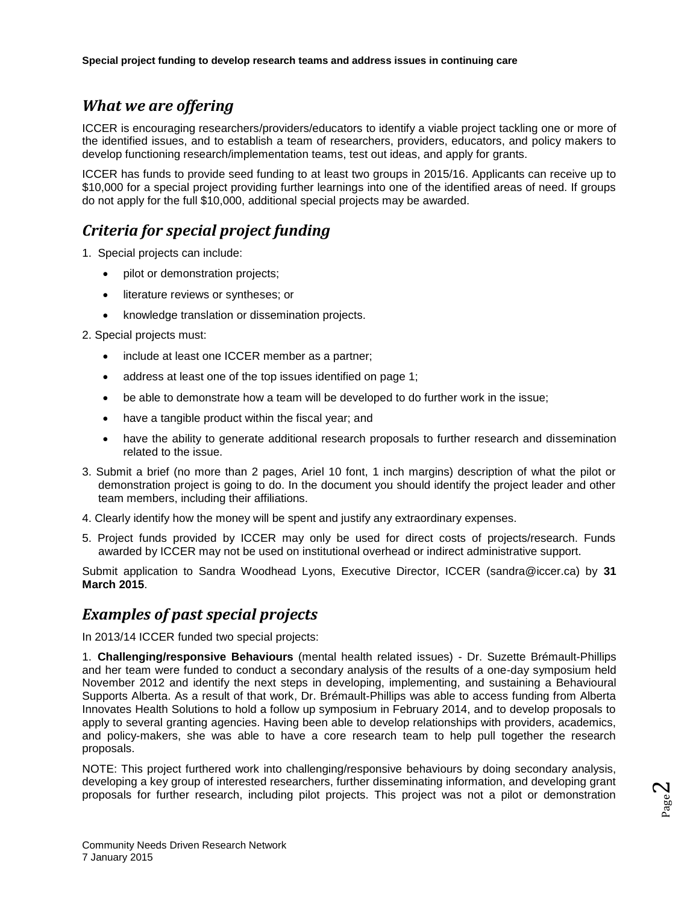#### *What we are offering*

ICCER is encouraging researchers/providers/educators to identify a viable project tackling one or more of the identified issues, and to establish a team of researchers, providers, educators, and policy makers to develop functioning research/implementation teams, test out ideas, and apply for grants.

ICCER has funds to provide seed funding to at least two groups in 2015/16. Applicants can receive up to \$10,000 for a special project providing further learnings into one of the identified areas of need. If groups do not apply for the full \$10,000, additional special projects may be awarded.

## *Criteria for special project funding*

1. Special projects can include:

- pilot or demonstration projects;
- literature reviews or syntheses; or
- knowledge translation or dissemination projects.
- 2. Special projects must:
	- include at least one ICCER member as a partner;
	- address at least one of the top issues identified on page 1;
	- be able to demonstrate how a team will be developed to do further work in the issue;
	- have a tangible product within the fiscal year; and
	- have the ability to generate additional research proposals to further research and dissemination related to the issue.
- 3. Submit a brief (no more than 2 pages, Ariel 10 font, 1 inch margins) description of what the pilot or demonstration project is going to do. In the document you should identify the project leader and other team members, including their affiliations.
- 4. Clearly identify how the money will be spent and justify any extraordinary expenses.
- 5. Project funds provided by ICCER may only be used for direct costs of projects/research. Funds awarded by ICCER may not be used on institutional overhead or indirect administrative support.

Submit application to Sandra Woodhead Lyons, Executive Director, ICCER (sandra@iccer.ca) by **31 March 2015**.

#### *Examples of past special projects*

In 2013/14 ICCER funded two special projects:

1. **Challenging/responsive Behaviours** (mental health related issues) - Dr. Suzette Brémault-Phillips and her team were funded to conduct a secondary analysis of the results of a one-day symposium held November 2012 and identify the next steps in developing, implementing, and sustaining a Behavioural Supports Alberta. As a result of that work, Dr. Brémault-Phillips was able to access funding from Alberta Innovates Health Solutions to hold a follow up symposium in February 2014, and to develop proposals to apply to several granting agencies. Having been able to develop relationships with providers, academics, and policy-makers, she was able to have a core research team to help pull together the research proposals.

NOTE: This project furthered work into challenging/responsive behaviours by doing secondary analysis, developing a key group of interested researchers, further disseminating information, and developing grant proposals for further research, including pilot projects. This project was not a pilot or demonstration